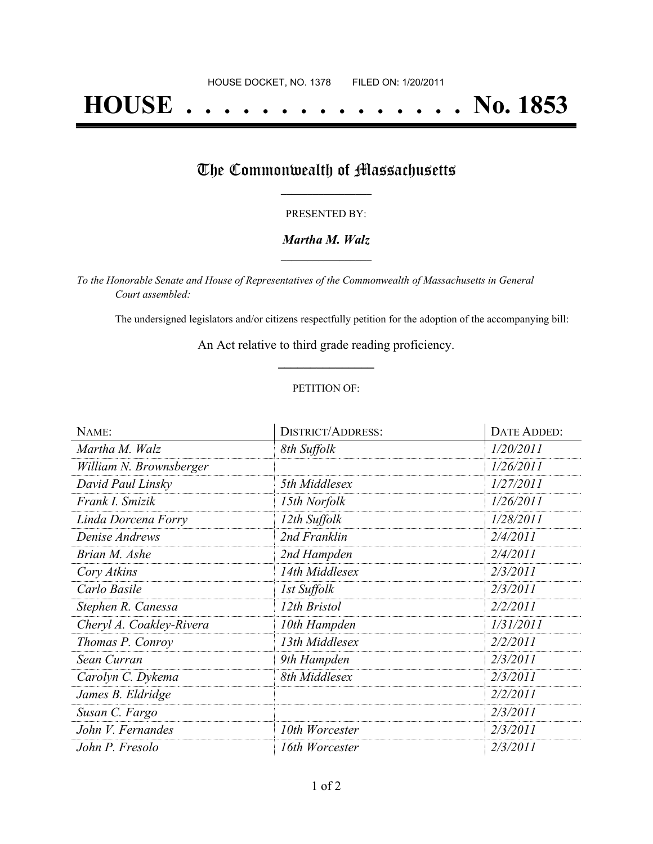# **HOUSE . . . . . . . . . . . . . . . No. 1853**

## The Commonwealth of Massachusetts

#### PRESENTED BY:

#### *Martha M. Walz* **\_\_\_\_\_\_\_\_\_\_\_\_\_\_\_\_\_**

*To the Honorable Senate and House of Representatives of the Commonwealth of Massachusetts in General Court assembled:*

The undersigned legislators and/or citizens respectfully petition for the adoption of the accompanying bill:

An Act relative to third grade reading proficiency. **\_\_\_\_\_\_\_\_\_\_\_\_\_\_\_**

#### PETITION OF:

| NAME:                    | <b>DISTRICT/ADDRESS:</b> | DATE ADDED: |
|--------------------------|--------------------------|-------------|
| Martha M. Walz           | 8th Suffolk              | 1/20/2011   |
| William N. Brownsberger  |                          | 1/26/2011   |
| David Paul Linsky        | 5th Middlesex            | 1/27/2011   |
| Frank I. Smizik          | 15th Norfolk             | 1/26/2011   |
| Linda Dorcena Forry      | 12th Suffolk             | 1/28/2011   |
| Denise Andrews           | 2nd Franklin             | 2/4/2011    |
| Brian M. Ashe            | 2nd Hampden              | 2/4/2011    |
| Cory Atkins              | 14th Middlesex           | 2/3/2011    |
| Carlo Basile             | 1st Suffolk              | 2/3/2011    |
| Stephen R. Canessa       | 12th Bristol             | 2/2/2011    |
| Cheryl A. Coakley-Rivera | 10th Hampden             | 1/31/2011   |
| Thomas P. Conroy         | 13th Middlesex           | 2/2/2011    |
| Sean Curran              | 9th Hampden              | 2/3/2011    |
| Carolyn C. Dykema        | 8th Middlesex            | 2/3/2011    |
| James B. Eldridge        |                          | 2/2/2011    |
| Susan C. Fargo           |                          | 2/3/2011    |
| John V. Fernandes        | 10th Worcester           | 2/3/2011    |
| John P. Fresolo          | 16th Worcester           | 2/3/2011    |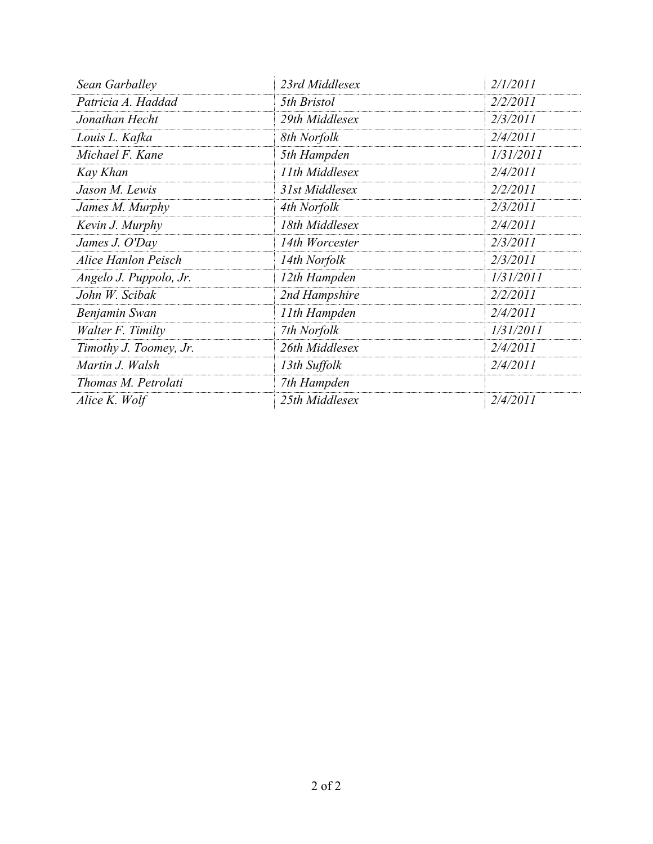| Sean Garballey             | 23rd Middlesex | 2/1/2011  |
|----------------------------|----------------|-----------|
| Patricia A. Haddad         | 5th Bristol    | 2/2/2011  |
| Jonathan Hecht             | 29th Middlesex | 2/3/2011  |
| Louis L. Kafka             | 8th Norfolk    | 2/4/2011  |
| Michael F. Kane            | 5th Hampden    | 1/31/2011 |
| Kay Khan                   | 11th Middlesex | 2/4/2011  |
| Jason M. Lewis             | 31st Middlesex | 2/2/2011  |
| James M. Murphy            | 4th Norfolk    | 2/3/2011  |
| Kevin J. Murphy            | 18th Middlesex | 2/4/2011  |
| James J. O'Day             | 14th Worcester | 2/3/2011  |
| <b>Alice Hanlon Peisch</b> | 14th Norfolk   | 2/3/2011  |
| Angelo J. Puppolo, Jr.     | 12th Hampden   | 1/31/2011 |
| John W. Scibak             | 2nd Hampshire  | 2/2/2011  |
| Benjamin Swan              | 11th Hampden   | 2/4/2011  |
| Walter F. Timilty          | 7th Norfolk    | 1/31/2011 |
| Timothy J. Toomey, Jr.     | 26th Middlesex | 2/4/2011  |
| Martin J. Walsh            | 13th Suffolk   | 2/4/2011  |
| Thomas M. Petrolati        | 7th Hampden    |           |
| Alice K. Wolf              | 25th Middlesex | 2/4/2011  |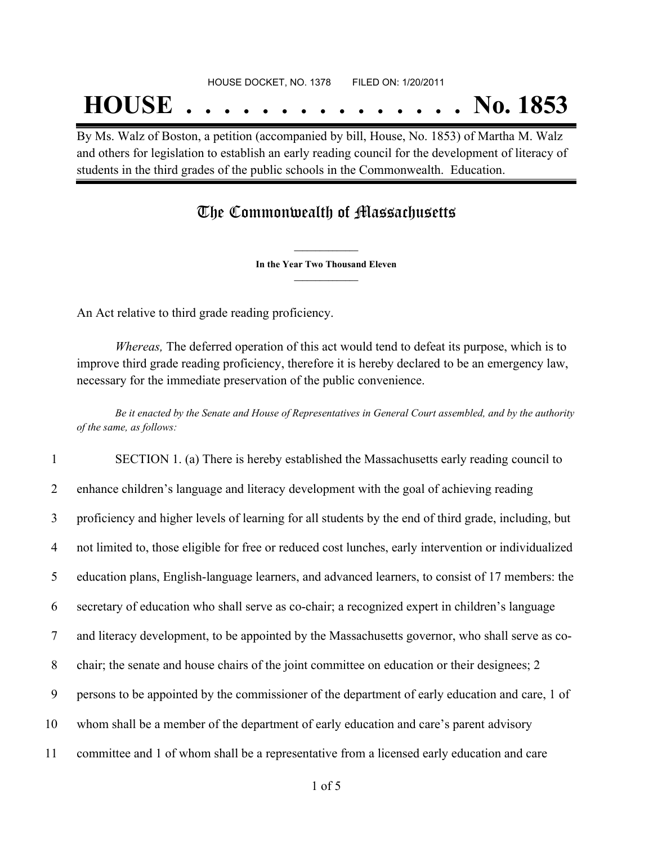## **HOUSE . . . . . . . . . . . . . . . No. 1853**

By Ms. Walz of Boston, a petition (accompanied by bill, House, No. 1853) of Martha M. Walz and others for legislation to establish an early reading council for the development of literacy of students in the third grades of the public schools in the Commonwealth. Education.

### The Commonwealth of Massachusetts

**\_\_\_\_\_\_\_\_\_\_\_\_\_\_\_ In the Year Two Thousand Eleven \_\_\_\_\_\_\_\_\_\_\_\_\_\_\_**

An Act relative to third grade reading proficiency.

*Whereas,* The deferred operation of this act would tend to defeat its purpose, which is to improve third grade reading proficiency, therefore it is hereby declared to be an emergency law, necessary for the immediate preservation of the public convenience.

Be it enacted by the Senate and House of Representatives in General Court assembled, and by the authority *of the same, as follows:*

 SECTION 1. (a) There is hereby established the Massachusetts early reading council to enhance children's language and literacy development with the goal of achieving reading proficiency and higher levels of learning for all students by the end of third grade, including, but not limited to, those eligible for free or reduced cost lunches, early intervention or individualized education plans, English-language learners, and advanced learners, to consist of 17 members: the secretary of education who shall serve as co-chair; a recognized expert in children's language and literacy development, to be appointed by the Massachusetts governor, who shall serve as co- chair; the senate and house chairs of the joint committee on education or their designees; 2 persons to be appointed by the commissioner of the department of early education and care, 1 of whom shall be a member of the department of early education and care's parent advisory committee and 1 of whom shall be a representative from a licensed early education and care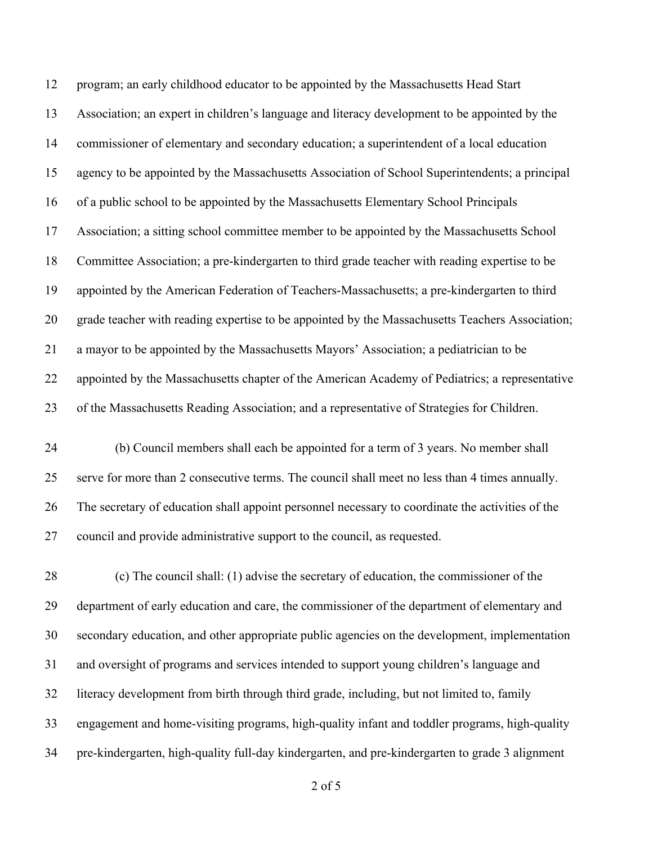program; an early childhood educator to be appointed by the Massachusetts Head Start Association; an expert in children's language and literacy development to be appointed by the commissioner of elementary and secondary education; a superintendent of a local education agency to be appointed by the Massachusetts Association of School Superintendents; a principal of a public school to be appointed by the Massachusetts Elementary School Principals Association; a sitting school committee member to be appointed by the Massachusetts School Committee Association; a pre-kindergarten to third grade teacher with reading expertise to be appointed by the American Federation of Teachers-Massachusetts; a pre-kindergarten to third grade teacher with reading expertise to be appointed by the Massachusetts Teachers Association; a mayor to be appointed by the Massachusetts Mayors' Association; a pediatrician to be appointed by the Massachusetts chapter of the American Academy of Pediatrics; a representative of the Massachusetts Reading Association; and a representative of Strategies for Children.

 (b) Council members shall each be appointed for a term of 3 years. No member shall serve for more than 2 consecutive terms. The council shall meet no less than 4 times annually. The secretary of education shall appoint personnel necessary to coordinate the activities of the council and provide administrative support to the council, as requested.

 (c) The council shall: (1) advise the secretary of education, the commissioner of the department of early education and care, the commissioner of the department of elementary and secondary education, and other appropriate public agencies on the development, implementation and oversight of programs and services intended to support young children's language and literacy development from birth through third grade, including, but not limited to, family engagement and home-visiting programs, high-quality infant and toddler programs, high-quality pre-kindergarten, high-quality full-day kindergarten, and pre-kindergarten to grade 3 alignment

of 5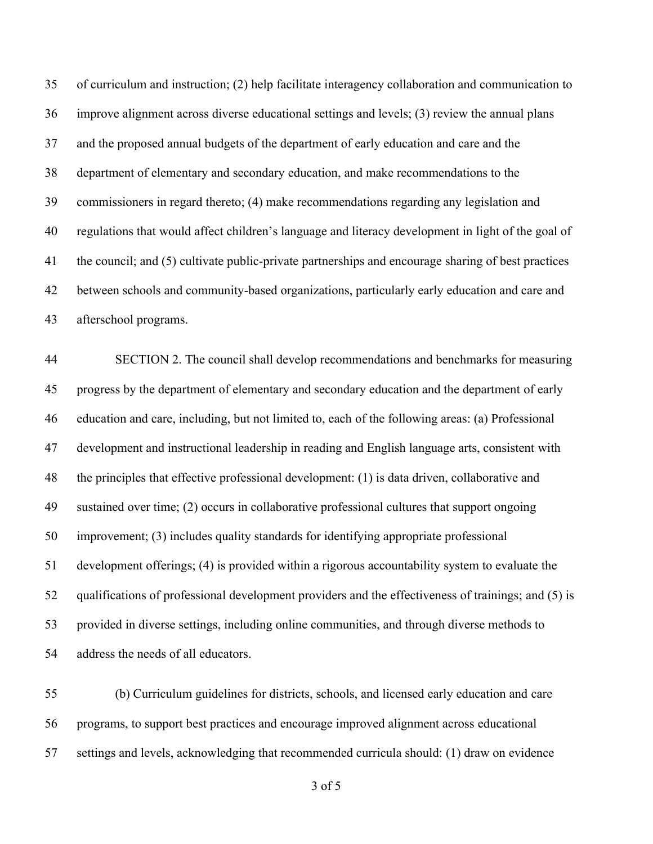of curriculum and instruction; (2) help facilitate interagency collaboration and communication to improve alignment across diverse educational settings and levels; (3) review the annual plans and the proposed annual budgets of the department of early education and care and the department of elementary and secondary education, and make recommendations to the commissioners in regard thereto; (4) make recommendations regarding any legislation and regulations that would affect children's language and literacy development in light of the goal of the council; and (5) cultivate public-private partnerships and encourage sharing of best practices between schools and community-based organizations, particularly early education and care and afterschool programs.

 SECTION 2. The council shall develop recommendations and benchmarks for measuring progress by the department of elementary and secondary education and the department of early education and care, including, but not limited to, each of the following areas: (a) Professional development and instructional leadership in reading and English language arts, consistent with the principles that effective professional development: (1) is data driven, collaborative and sustained over time; (2) occurs in collaborative professional cultures that support ongoing improvement; (3) includes quality standards for identifying appropriate professional development offerings; (4) is provided within a rigorous accountability system to evaluate the qualifications of professional development providers and the effectiveness of trainings; and (5) is provided in diverse settings, including online communities, and through diverse methods to address the needs of all educators.

 (b) Curriculum guidelines for districts, schools, and licensed early education and care programs, to support best practices and encourage improved alignment across educational settings and levels, acknowledging that recommended curricula should: (1) draw on evidence

of 5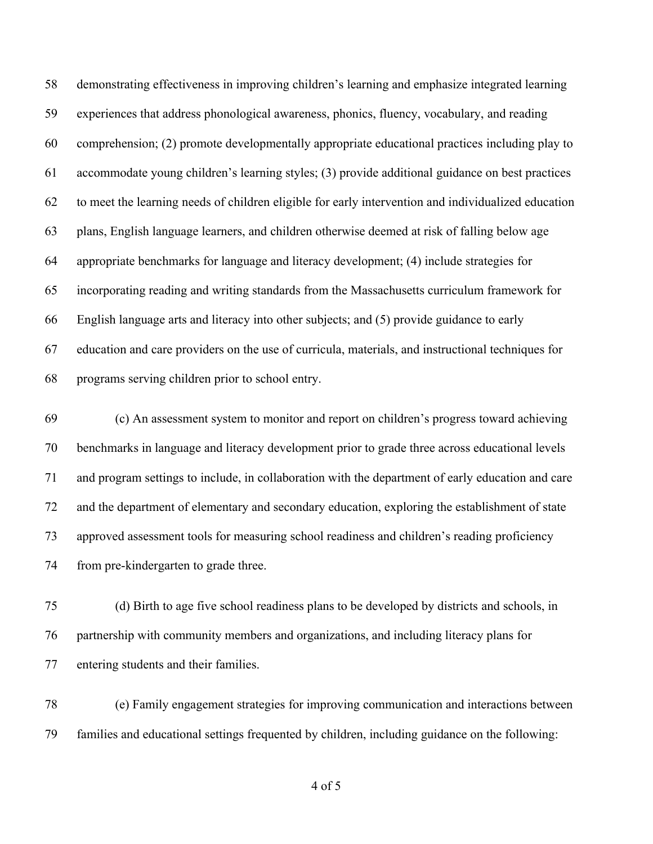demonstrating effectiveness in improving children's learning and emphasize integrated learning experiences that address phonological awareness, phonics, fluency, vocabulary, and reading comprehension; (2) promote developmentally appropriate educational practices including play to accommodate young children's learning styles; (3) provide additional guidance on best practices to meet the learning needs of children eligible for early intervention and individualized education plans, English language learners, and children otherwise deemed at risk of falling below age appropriate benchmarks for language and literacy development; (4) include strategies for incorporating reading and writing standards from the Massachusetts curriculum framework for English language arts and literacy into other subjects; and (5) provide guidance to early education and care providers on the use of curricula, materials, and instructional techniques for programs serving children prior to school entry.

 (c) An assessment system to monitor and report on children's progress toward achieving benchmarks in language and literacy development prior to grade three across educational levels and program settings to include, in collaboration with the department of early education and care and the department of elementary and secondary education, exploring the establishment of state approved assessment tools for measuring school readiness and children's reading proficiency from pre-kindergarten to grade three.

 (d) Birth to age five school readiness plans to be developed by districts and schools, in partnership with community members and organizations, and including literacy plans for entering students and their families.

 (e) Family engagement strategies for improving communication and interactions between families and educational settings frequented by children, including guidance on the following:

of 5